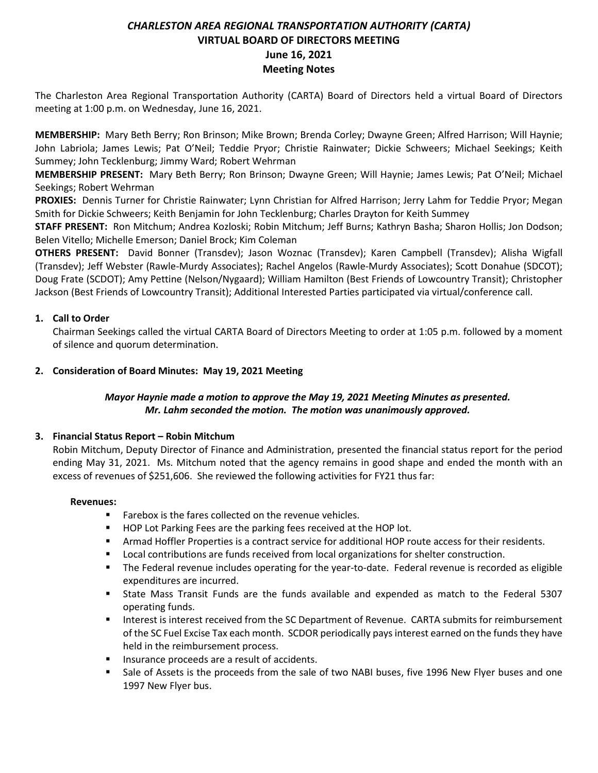# *CHARLESTON AREA REGIONAL TRANSPORTATION AUTHORITY (CARTA)* **VIRTUAL BOARD OF DIRECTORS MEETING June 16, 2021 Meeting Notes**

The Charleston Area Regional Transportation Authority (CARTA) Board of Directors held a virtual Board of Directors meeting at 1:00 p.m. on Wednesday, June 16, 2021.

**MEMBERSHIP:** Mary Beth Berry; Ron Brinson; Mike Brown; Brenda Corley; Dwayne Green; Alfred Harrison; Will Haynie; John Labriola; James Lewis; Pat O'Neil; Teddie Pryor; Christie Rainwater; Dickie Schweers; Michael Seekings; Keith Summey; John Tecklenburg; Jimmy Ward; Robert Wehrman

**MEMBERSHIP PRESENT:** Mary Beth Berry; Ron Brinson; Dwayne Green; Will Haynie; James Lewis; Pat O'Neil; Michael Seekings; Robert Wehrman

**PROXIES:** Dennis Turner for Christie Rainwater; Lynn Christian for Alfred Harrison; Jerry Lahm for Teddie Pryor; Megan Smith for Dickie Schweers; Keith Benjamin for John Tecklenburg; Charles Drayton for Keith Summey

**STAFF PRESENT:** Ron Mitchum; Andrea Kozloski; Robin Mitchum; Jeff Burns; Kathryn Basha; Sharon Hollis; Jon Dodson; Belen Vitello; Michelle Emerson; Daniel Brock; Kim Coleman

**OTHERS PRESENT:** David Bonner (Transdev); Jason Woznac (Transdev); Karen Campbell (Transdev); Alisha Wigfall (Transdev); Jeff Webster (Rawle-Murdy Associates); Rachel Angelos (Rawle-Murdy Associates); Scott Donahue (SDCOT); Doug Frate (SCDOT); Amy Pettine (Nelson/Nygaard); William Hamilton (Best Friends of Lowcountry Transit); Christopher Jackson (Best Friends of Lowcountry Transit); Additional Interested Parties participated via virtual/conference call.

# **1. Call to Order**

Chairman Seekings called the virtual CARTA Board of Directors Meeting to order at 1:05 p.m. followed by a moment of silence and quorum determination.

## **2. Consideration of Board Minutes: May 19, 2021 Meeting**

# *Mayor Haynie made a motion to approve the May 19, 2021 Meeting Minutes as presented. Mr. Lahm seconded the motion. The motion was unanimously approved.*

#### **3. Financial Status Report – Robin Mitchum**

Robin Mitchum, Deputy Director of Finance and Administration, presented the financial status report for the period ending May 31, 2021. Ms. Mitchum noted that the agency remains in good shape and ended the month with an excess of revenues of \$251,606. She reviewed the following activities for FY21 thus far:

#### **Revenues:**

- Farebox is the fares collected on the revenue vehicles.
- HOP Lot Parking Fees are the parking fees received at the HOP lot.
- **Armad Hoffler Properties is a contract service for additional HOP route access for their residents.**
- Local contributions are funds received from local organizations for shelter construction.
- The Federal revenue includes operating for the year-to-date. Federal revenue is recorded as eligible expenditures are incurred.
- State Mass Transit Funds are the funds available and expended as match to the Federal 5307 operating funds.
- Interest is interest received from the SC Department of Revenue. CARTA submits for reimbursement of the SC Fuel Excise Tax each month. SCDOR periodically pays interest earned on the funds they have held in the reimbursement process.
- Insurance proceeds are a result of accidents.
- Sale of Assets is the proceeds from the sale of two NABI buses, five 1996 New Flyer buses and one 1997 New Flyer bus.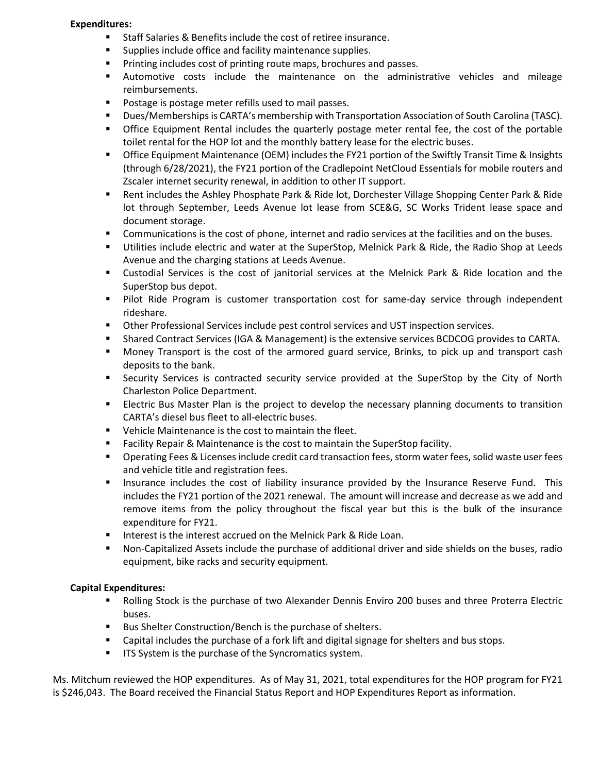#### **Expenditures:**

- Staff Salaries & Benefits include the cost of retiree insurance.
- Supplies include office and facility maintenance supplies.
- Printing includes cost of printing route maps, brochures and passes.
- Automotive costs include the maintenance on the administrative vehicles and mileage reimbursements.
- Postage is postage meter refills used to mail passes.
- Dues/Memberships is CARTA's membership with Transportation Association of South Carolina (TASC).
- **•** Office Equipment Rental includes the quarterly postage meter rental fee, the cost of the portable toilet rental for the HOP lot and the monthly battery lease for the electric buses.
- Office Equipment Maintenance (OEM) includes the FY21 portion of the Swiftly Transit Time & Insights (through 6/28/2021), the FY21 portion of the Cradlepoint NetCloud Essentials for mobile routers and Zscaler internet security renewal, in addition to other IT support.
- Rent includes the Ashley Phosphate Park & Ride lot, Dorchester Village Shopping Center Park & Ride lot through September, Leeds Avenue lot lease from SCE&G, SC Works Trident lease space and document storage.
- Communications is the cost of phone, internet and radio services at the facilities and on the buses.
- Utilities include electric and water at the SuperStop, Melnick Park & Ride, the Radio Shop at Leeds Avenue and the charging stations at Leeds Avenue.
- Custodial Services is the cost of janitorial services at the Melnick Park & Ride location and the SuperStop bus depot.
- Pilot Ride Program is customer transportation cost for same-day service through independent rideshare.
- **■** Other Professional Services include pest control services and UST inspection services.
- **EXECT** Shared Contract Services (IGA & Management) is the extensive services BCDCOG provides to CARTA.
- Money Transport is the cost of the armored guard service, Brinks, to pick up and transport cash deposits to the bank.
- **EXECUTE:** Security Services is contracted security service provided at the SuperStop by the City of North Charleston Police Department.
- **EXECT ELECT FIGUS** Electric Bus Master Plan is the project to develop the necessary planning documents to transition CARTA's diesel bus fleet to all-electric buses.
- Vehicle Maintenance is the cost to maintain the fleet.
- Facility Repair & Maintenance is the cost to maintain the SuperStop facility.
- Operating Fees & Licenses include credit card transaction fees, storm water fees, solid waste user fees and vehicle title and registration fees.
- **■** Insurance includes the cost of liability insurance provided by the Insurance Reserve Fund. This includes the FY21 portion of the 2021 renewal. The amount will increase and decrease as we add and remove items from the policy throughout the fiscal year but this is the bulk of the insurance expenditure for FY21.
- Interest is the interest accrued on the Melnick Park & Ride Loan.
- Non-Capitalized Assets include the purchase of additional driver and side shields on the buses, radio equipment, bike racks and security equipment.

# **Capital Expenditures:**

- Rolling Stock is the purchase of two Alexander Dennis Enviro 200 buses and three Proterra Electric buses.
- Bus Shelter Construction/Bench is the purchase of shelters.
- Capital includes the purchase of a fork lift and digital signage for shelters and bus stops.
- **■** ITS System is the purchase of the Syncromatics system.

Ms. Mitchum reviewed the HOP expenditures. As of May 31, 2021, total expenditures for the HOP program for FY21 is \$246,043. The Board received the Financial Status Report and HOP Expenditures Report as information.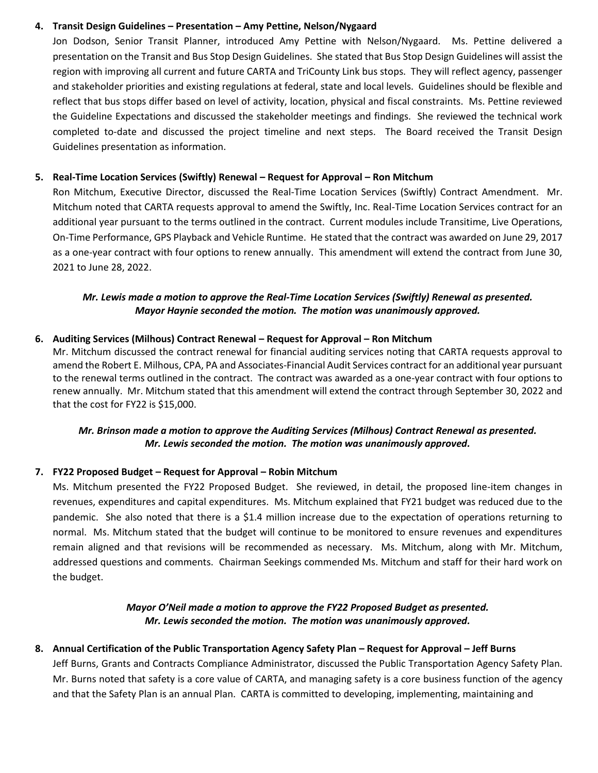## **4. Transit Design Guidelines – Presentation – Amy Pettine, Nelson/Nygaard**

Jon Dodson, Senior Transit Planner, introduced Amy Pettine with Nelson/Nygaard. Ms. Pettine delivered a presentation on the Transit and Bus Stop Design Guidelines. She stated that Bus Stop Design Guidelines will assist the region with improving all current and future CARTA and TriCounty Link bus stops. They will reflect agency, passenger and stakeholder priorities and existing regulations at federal, state and local levels. Guidelines should be flexible and reflect that bus stops differ based on level of activity, location, physical and fiscal constraints. Ms. Pettine reviewed the Guideline Expectations and discussed the stakeholder meetings and findings. She reviewed the technical work completed to-date and discussed the project timeline and next steps. The Board received the Transit Design Guidelines presentation as information.

## **5. Real-Time Location Services (Swiftly) Renewal – Request for Approval – Ron Mitchum**

Ron Mitchum, Executive Director, discussed the Real-Time Location Services (Swiftly) Contract Amendment. Mr. Mitchum noted that CARTA requests approval to amend the Swiftly, Inc. Real-Time Location Services contract for an additional year pursuant to the terms outlined in the contract. Current modules include Transitime, Live Operations, On-Time Performance, GPS Playback and Vehicle Runtime. He stated that the contract was awarded on June 29, 2017 as a one-year contract with four options to renew annually. This amendment will extend the contract from June 30, 2021 to June 28, 2022.

# *Mr. Lewis made a motion to approve the Real-Time Location Services (Swiftly) Renewal as presented. Mayor Haynie seconded the motion. The motion was unanimously approved.*

## **6. Auditing Services (Milhous) Contract Renewal – Request for Approval – Ron Mitchum**

Mr. Mitchum discussed the contract renewal for financial auditing services noting that CARTA requests approval to amend the Robert E. Milhous, CPA, PA and Associates-Financial Audit Services contract for an additional year pursuant to the renewal terms outlined in the contract. The contract was awarded as a one-year contract with four options to renew annually. Mr. Mitchum stated that this amendment will extend the contract through September 30, 2022 and that the cost for FY22 is \$15,000.

# *Mr. Brinson made a motion to approve the Auditing Services (Milhous) Contract Renewal as presented. Mr. Lewis seconded the motion. The motion was unanimously approved.*

# **7. FY22 Proposed Budget – Request for Approval – Robin Mitchum**

Ms. Mitchum presented the FY22 Proposed Budget. She reviewed, in detail, the proposed line-item changes in revenues, expenditures and capital expenditures. Ms. Mitchum explained that FY21 budget was reduced due to the pandemic. She also noted that there is a \$1.4 million increase due to the expectation of operations returning to normal. Ms. Mitchum stated that the budget will continue to be monitored to ensure revenues and expenditures remain aligned and that revisions will be recommended as necessary. Ms. Mitchum, along with Mr. Mitchum, addressed questions and comments. Chairman Seekings commended Ms. Mitchum and staff for their hard work on the budget.

## *Mayor O'Neil made a motion to approve the FY22 Proposed Budget as presented. Mr. Lewis seconded the motion. The motion was unanimously approved.*

# **8. Annual Certification of the Public Transportation Agency Safety Plan – Request for Approval – Jeff Burns** Jeff Burns, Grants and Contracts Compliance Administrator, discussed the Public Transportation Agency Safety Plan.

Mr. Burns noted that safety is a core value of CARTA, and managing safety is a core business function of the agency and that the Safety Plan is an annual Plan. CARTA is committed to developing, implementing, maintaining and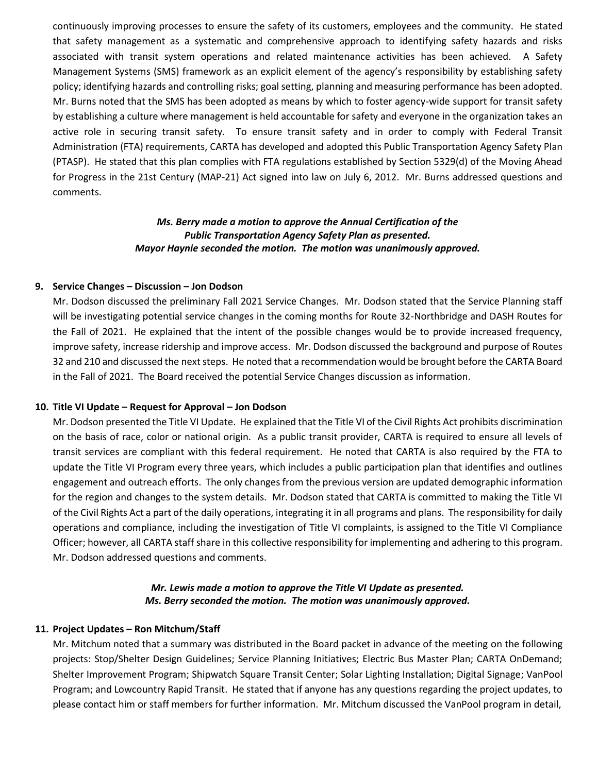continuously improving processes to ensure the safety of its customers, employees and the community. He stated that safety management as a systematic and comprehensive approach to identifying safety hazards and risks associated with transit system operations and related maintenance activities has been achieved. A Safety Management Systems (SMS) framework as an explicit element of the agency's responsibility by establishing safety policy; identifying hazards and controlling risks; goal setting, planning and measuring performance has been adopted. Mr. Burns noted that the SMS has been adopted as means by which to foster agency-wide support for transit safety by establishing a culture where management is held accountable for safety and everyone in the organization takes an active role in securing transit safety. To ensure transit safety and in order to comply with Federal Transit Administration (FTA) requirements, CARTA has developed and adopted this Public Transportation Agency Safety Plan (PTASP). He stated that this plan complies with FTA regulations established by Section 5329(d) of the Moving Ahead for Progress in the 21st Century (MAP-21) Act signed into law on July 6, 2012. Mr. Burns addressed questions and comments.

## *Ms. Berry made a motion to approve the Annual Certification of the Public Transportation Agency Safety Plan as presented. Mayor Haynie seconded the motion. The motion was unanimously approved.*

#### **9. Service Changes – Discussion – Jon Dodson**

Mr. Dodson discussed the preliminary Fall 2021 Service Changes. Mr. Dodson stated that the Service Planning staff will be investigating potential service changes in the coming months for Route 32-Northbridge and DASH Routes for the Fall of 2021. He explained that the intent of the possible changes would be to provide increased frequency, improve safety, increase ridership and improve access. Mr. Dodson discussed the background and purpose of Routes 32 and 210 and discussed the next steps. He noted that a recommendation would be brought before the CARTA Board in the Fall of 2021. The Board received the potential Service Changes discussion as information.

#### **10. Title VI Update – Request for Approval – Jon Dodson**

Mr. Dodson presented the Title VI Update. He explained that the Title VI of the Civil Rights Act prohibits discrimination on the basis of race, color or national origin. As a public transit provider, CARTA is required to ensure all levels of transit services are compliant with this federal requirement. He noted that CARTA is also required by the FTA to update the Title VI Program every three years, which includes a public participation plan that identifies and outlines engagement and outreach efforts. The only changes from the previous version are updated demographic information for the region and changes to the system details. Mr. Dodson stated that CARTA is committed to making the Title VI of the Civil Rights Act a part of the daily operations, integrating it in all programs and plans. The responsibility for daily operations and compliance, including the investigation of Title VI complaints, is assigned to the Title VI Compliance Officer; however, all CARTA staff share in this collective responsibility for implementing and adhering to this program. Mr. Dodson addressed questions and comments.

#### *Mr. Lewis made a motion to approve the Title VI Update as presented. Ms. Berry seconded the motion. The motion was unanimously approved.*

#### **11. Project Updates – Ron Mitchum/Staff**

Mr. Mitchum noted that a summary was distributed in the Board packet in advance of the meeting on the following projects: Stop/Shelter Design Guidelines; Service Planning Initiatives; Electric Bus Master Plan; CARTA OnDemand; Shelter Improvement Program; Shipwatch Square Transit Center; Solar Lighting Installation; Digital Signage; VanPool Program; and Lowcountry Rapid Transit. He stated that if anyone has any questions regarding the project updates, to please contact him or staff members for further information. Mr. Mitchum discussed the VanPool program in detail,